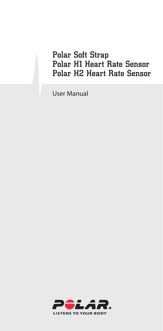### Polar Soft Strap Polar H1 Heart Rate Sensor Polar H2 Heart Rate Sensor

User Manual

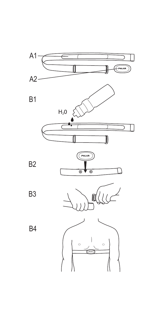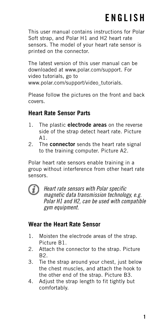## **ENGLISH**

This user manual contains instructions for Polar Soft strap, and Polar H1 and H2 heart rate sensors. The model of your heart rate sensor is printed on the connector.

The latest version of this user manual can be downloaded at www.polar.com/support. For video tutorials, go to www.polar.com/support/video\_tutorials.

Please follow the pictures on the front and back covers.

#### **Heart Rate Sensor Parts**

- 1. The plastic **electrode areas** on the reverse side of the strap detect heart rate. Picture A1.
- 2. The **connector** sends the heart rate signal to the training computer. Picture A2.

Polar heart rate sensors enable training in a group without interference from other heart rate sensors.



Heart rate sensors with Polar specific magnetic data transmission technology, e.g. Polar H1 and H2, can be used with compatible gym equipment.

#### **Wear the Heart Rate Sensor**

- 1. Moisten the electrode areas of the strap. Picture B1.
- 2. Attach the connector to the strap. Picture  $B2$
- 3. Tie the strap around your chest, just below the chest muscles, and attach the hook to the other end of the strap. Picture B3.
- 4. Adjust the strap length to fit tightly but comfortably.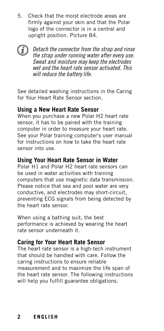5. Check that the moist electrode areas are firmly against your skin and that the Polar logo of the connector is in a central and upright position. Picture B4.



See detailed washing instructions in the Caring for Your Heart Rate Sensor section.

#### **Using a New Heart Rate Sensor**

When you purchase a new Polar H2 heart rate sensor, it has to be paired with the training computer in order to measure your heart rate. See your Polar training computer's user manual for instructions on how to take the heart rate sensor into use.

#### **Using Your Heart Rate Sensor in Water**

Polar H1 and Polar H2 heart rate sensors can be used in water activities with training computers that use magnetic data transmission. Please notice that sea and pool water are very conductive, and electrodes may short-circuit, preventing ECG signals from being detected by the heart rate sensor.

When using a bathing suit, the best performance is achieved by wearing the heart rate sensor underneath it.

#### **Caring for Your Heart Rate Sensor**

The heart rate sensor is a high-tech instrument that should be handled with care. Follow the caring instructions to ensure reliable measurement and to maximize the life span of the heart rate sensor. The following instructions will help you fulfill guarantee obligations.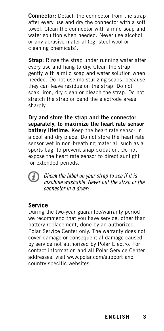**Connector:** Detach the connector from the strap after every use and dry the connector with a soft towel. Clean the connector with a mild soap and water solution when needed. Never use alcohol or any abrasive material (eg. steel wool or cleaning chemicals).

**Strap:** Rinse the strap under running water after every use and hang to dry. Clean the strap gently with a mild soap and water solution when needed. Do not use moisturizing soaps, because they can leave residue on the strap. Do not soak, iron, dry clean or bleach the strap. Do not stretch the strap or bend the electrode areas sharply.

**Dry and store the strap and the connector separately, to maximize the heart rate sensor battery lifetime.** Keep the heart rate sensor in a cool and dry place. Do not store the heart rate sensor wet in non-breathing material, such as a sports bag, to prevent snap oxidation. Do not expose the heart rate sensor to direct sunlight for extended periods.



Check the label on your strap to see if it is machine washable. Never put the strap or the connector in a dryer!

#### **Service**

During the two-year guarantee/warranty period we recommend that you have service, other than battery replacement, done by an authorized Polar Service Center only. The warranty does not cover damage or consequential damage caused by service not authorized by Polar Electro. For contact information and all Polar Service Center addresses, visit www.polar.com/support and country specific websites.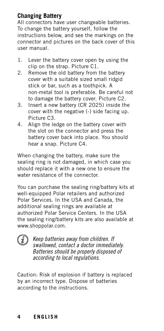#### **Changing Battery**

All connectors have user changeable batteries. To change the battery yourself, follow the instructions below, and see the markings on the connector and pictures on the back cover of this user manual.

- 1. Lever the battery cover open by using the clip on the strap. Picture C1.
- 2. Remove the old battery from the battery cover with a suitable sized small ridgid stick or bar, such as a toothpick. A non-metal tool is preferable. Be careful not to damage the battery cover. Picture C2.
- 3. Insert a new battery (CR 2025) inside the cover with the negative (-) side facing up. Picture C3.
- 4. Align the ledge on the battery cover with the slot on the connector and press the battery cover back into place. You should hear a snap. Picture C4.

When changing the battery, make sure the sealing ring is not damaged, in which case you should replace it with a new one to ensure the water resistance of the connector.

You can purchase the sealing ring/battery kits at well-equipped Polar retailers and authorized Polar Services. In the USA and Canada, the additional sealing rings are available at authorized Polar Service Centers. In the USA the sealing ring/battery kits are also available at www.shoppolar.com.



Keep batteries away from children. If swallowed, contact a doctor immediately. Batteries should be properly disposed of according to local regulations.

Caution: Risk of explosion if battery is replaced by an incorrect type. Dispose of batteries according to the instructions.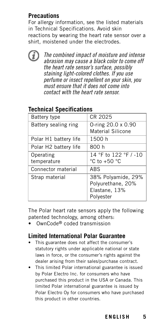#### **Precautions**

For allergy information, see the listed materials in Technical Specifications. Avoid skin reactions by wearing the heart rate sensor over a shirt, moistened under the electrodes.



The combined impact of moisture and intense abrasion may cause a black color to come off the heart rate sensor's surface, possibly staining light-colored clothes. If you use perfume or insect repellent on your skin, you must ensure that it does not come into contact with the heart rate sensor.

| <b>Battery type</b>      | CR 2025                                                               |
|--------------------------|-----------------------------------------------------------------------|
| Battery sealing ring     | 0-ring 20.0 x 0.90<br>Material Silicone                               |
| Polar H1 battery life    | 1500 h                                                                |
| Polar H2 battery life    | 800 h                                                                 |
| Operating<br>temperature | 14 °F to 122 °F / -10<br>°C to +50 $^{\circ}$ C                       |
| Connector material       | ABS                                                                   |
| Strap material           | 38% Polyamide, 29%<br>Polyurethane, 20%<br>Elastane, 13%<br>Polyester |

#### **Technical Specifications**

The Polar heart rate sensors apply the following patented technology, among others:

• OwnCode<sup>®</sup> coded transmission

#### **Limited International Polar Guarantee**

- This guarantee does not affect the consumer's statutory rights under applicable national or state laws in force, or the consumer's rights against the dealer arising from their sales/purchase contract.
- This limited Polar international guarantee is issued by Polar Electro Inc. for consumers who have purchased this product in the USA or Canada. This limited Polar international guarantee is issued by Polar Electro Oy for consumers who have purchased this product in other countries.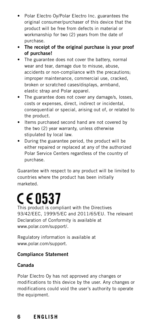- Polar Electro Oy/Polar Electro Inc. guarantees the original consumer/purchaser of this device that the product will be free from defects in material or workmanship for two (2) years from the date of purchase.
- **The receipt of the original purchase is your proof of purchase!**
- The guarantee does not cover the battery, normal wear and tear, damage due to misuse, abuse, accidents or non-compliance with the precautions; improper maintenance, commercial use, cracked, broken or scratched cases/displays, armband, elastic strap and Polar apparel.
- The guarantee does not cover any damage/s, losses, costs or expenses, direct, indirect or incidental, consequential or special, arising out of, or related to the product.
- Items purchased second hand are not covered by the two (2) year warranty, unless otherwise stipulated by local law.
- During the guarantee period, the product will be either repaired or replaced at any of the authorized Polar Service Centers regardless of the country of purchase.

Guarantee with respect to any product will be limited to countries where the product has been initially marketed.

# C E 0537

This product is compliant with the Directives 93/42/EEC, 1999/5/EC and 2011/65/EU. The relevant Declaration of Conformity is available at www.polar.com/support/.

Regulatory information is available at www.polar.com/support.

#### **Compliance Statement**

#### **Canada**

Polar Electro Oy has not approved any changes or modifications to this device by the user. Any changes or modifications could void the user's authority to operate the equipment.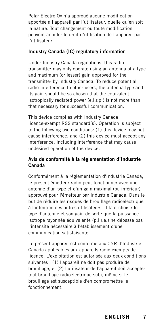Polar Electro Oy n'a approué aucune modification apportée à l'appareil par l'utilisateur, quelle qu'en soit la nature. Tout changement ou toute modification peuvent annuler le droit d'utilisation de l'appareil par l'utilisateur.

#### **Industry Canada (IC) regulatory information**

Under Industry Canada regulations, this radio transmitter may only operate using an antenna of a type and maximum (or lesser) gain approved for the transmitter by Industry Canada. To reduce potential radio interference to other users, the antenna type and its gain should be so chosen that the equivalent isotropically radiated power (e.i.r.p.) is not more than that necessary for successful communication.

This device complies with Industry Canada licence-exempt RSS standard(s). Operation is subject to the following two conditions: (1) this device may not cause interference, and (2) this device must accept any interference, including interference that may cause undesired operation of the device.

#### **Avis de conformité à la réglementation d'Industrie Canada**

Conformément à la réglementation d'Industrie Canada, le présent émetteur radio peut fonctionner avec une antenne d'un type et d'un gain maximal (ou inférieur) approuvé pour l'émetteur par Industrie Canada. Dans le but de réduire les risques de brouillage radioélectrique à l'intention des autres utilisateurs, il faut choisir le type d'antenne et son gain de sorte que la puissance isotrope rayonnée équivalente (p.i.r.e.) ne dépasse pas l'intensité nécessaire à l'établissement d'une communication satisfaisante.

Le présent appareil est conforme aux CNR d'Industrie Canada applicables aux appareils radio exempts de licence. L'exploitation est autorisée aux deux conditions suivantes : (1) l'appareil ne doit pas produire de brouillage, et (2) l'utilisateur de l'appareil doit accepter tout brouillage radioélectrique subi, même si le brouillage est susceptible d'en compromettre le fonctionnement.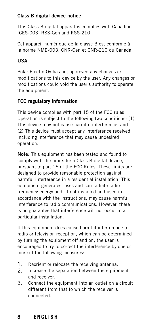#### **Class B digital device notice**

This Class B digital apparatus complies with Canadian ICES-003, RSS-Gen and RSS-210.

Cet appareil numérique de la classe B est conforme à la norme NMB-003, CNR-Gen et CNR-210 du Canada.

#### **USA**

Polar Electro Oy has not approved any changes or modifications to this device by the user. Any changes or modifications could void the user's authority to operate the equipment.

#### **FCC regulatory information**

This device complies with part 15 of the FCC rules. Operation is subject to the following two conditions: (1) This device may not cause harmful interference, and (2) This device must accept any interference received, including interference that may cause undesired operation.

**Note:** This equipment has been tested and found to comply with the limits for a Class B digital device, pursuant to part 15 of the FCC Rules. These limits are designed to provide reasonable protection against harmful interference in a residential installation. This equipment generates, uses and can radiate radio frequency energy and, if not installed and used in accordance with the instructions, may cause harmful interference to radio communications. However, there is no guarantee that interference will not occur in a particular installation.

If this equipment does cause harmful interference to radio or television reception, which can be determined by turning the equipment off and on, the user is encouraged to try to correct the interference by one or more of the following measures:

- 1. Reorient or relocate the receiving antenna.
- 2. Increase the separation between the equipment and receiver.
- 3. Connect the equipment into an outlet on a circuit different from that to which the receiver is connected.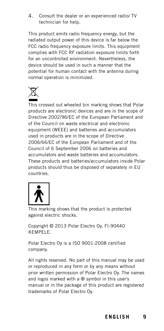4. Consult the dealer or an experienced radio/ TV technician for help.

This product emits radio frequency energy, but the radiated output power of this device is far below the FCC radio frequency exposure limits. This equipment complies with FCC RF radiation exposure limits forth for an uncontrolled environment. Nevertheless, the device should be used in such a manner that the potential for human contact with the antenna during normal operation is minimized.



This crossed out wheeled bin marking shows that Polar products are electronic devices and are in the scope of Directive 2002/96/EC of the European Parliament and of the Council on waste electrical and electronic equipment (WEEE) and batteries and accumulators used in products are in the scope of Directive 2006/66/EC of the European Parliament and of the Council of 6 September 2006 on batteries and accumulators and waste batteries and accumulators. These products and batteries/accumulators inside Polar products should thus be disposed of separately in EU countries.



This marking shows that the product is protected against electric shocks.

Copyright © 2013 Polar Electro Oy, FI-90440 KEMPELE.

Polar Electro Oy is a ISO 9001:2008 certified company.

All rights reserved. No part of this manual may be used or reproduced in any form or by any means without prior written permission of Polar Electro Oy. The names and logos marked with a ® symbol in this user's manual or in the package of this product are registered trademarks of Polar Electro Oy.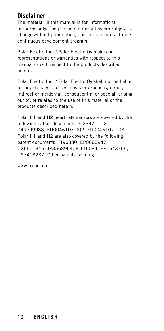#### **Disclaimer**

The material in this manual is for informational purposes only. The products it describes are subject to change without prior notice, due to the manufacturer's continuous development program.

Polar Electro Inc. / Polar Electro Oy makes no representations or warranties with respect to this manual or with respect to the products described herein.

Polar Electro Inc. / Polar Electro Oy shall not be liable for any damages, losses, costs or expenses, direct, indirect or incidental, consequential or special, arising out of, or related to the use of this material or the products described herein.

Polar H1 and H2 heart rate sensors are covered by the following patent documents: FI23471, US D492999SS, EU0046107-002, EU0046107-003. Polar H1 and H2 are also covered by the following patent documents: FI96380, EP0665947, US5611346, JP3568954, FI115084, EP1543769, US7418237. Other patents pending.

www.polar.com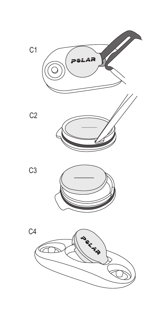